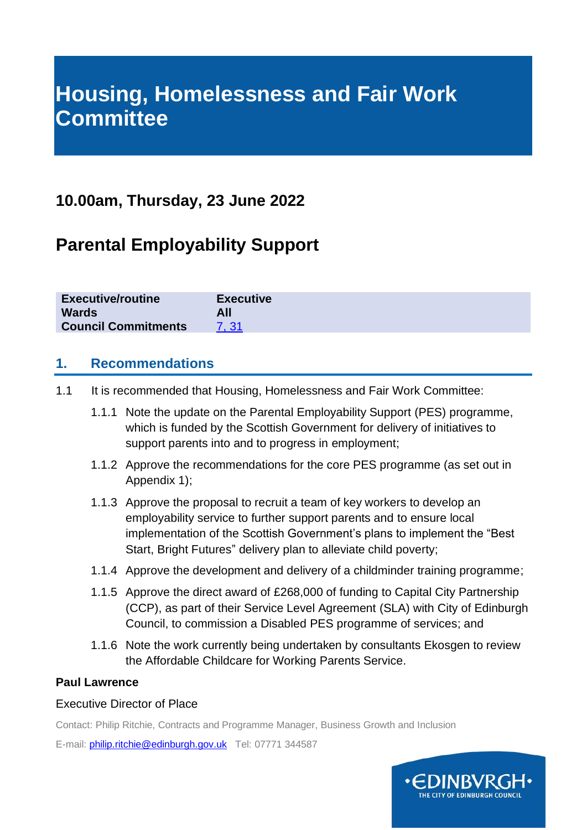# **Housing, Homelessness and Fair Work Committee**

# **10.00am, Thursday, 23 June 2022**

# **Parental Employability Support**

| <b>Executive/routine</b><br><b>Wards</b> | <b>Executive</b> |
|------------------------------------------|------------------|
| <b>Council Commitments</b>               |                  |

#### **1. Recommendations**

- 1.1 It is recommended that Housing, Homelessness and Fair Work Committee:
	- 1.1.1 Note the update on the Parental Employability Support (PES) programme, which is funded by the Scottish Government for delivery of initiatives to support parents into and to progress in employment;
	- 1.1.2 Approve the recommendations for the core PES programme (as set out in Appendix 1);
	- 1.1.3 Approve the proposal to recruit a team of key workers to develop an employability service to further support parents and to ensure local implementation of the Scottish Government's plans to implement the "Best Start, Bright Futures" delivery plan to alleviate child poverty;
	- 1.1.4 Approve the development and delivery of a childminder training programme;
	- 1.1.5 Approve the direct award of £268,000 of funding to Capital City Partnership (CCP), as part of their Service Level Agreement (SLA) with City of Edinburgh Council, to commission a Disabled PES programme of services; and
	- 1.1.6 Note the work currently being undertaken by consultants Ekosgen to review the Affordable Childcare for Working Parents Service.

#### **Paul Lawrence**

#### Executive Director of Place

Contact: Philip Ritchie, Contracts and Programme Manager, Business Growth and Inclusion

E-mail: [philip.ritchie@edinburgh.gov.uk](mailto:philip.ritchie@edinburgh.gov.uk) Tel: 07771 344587

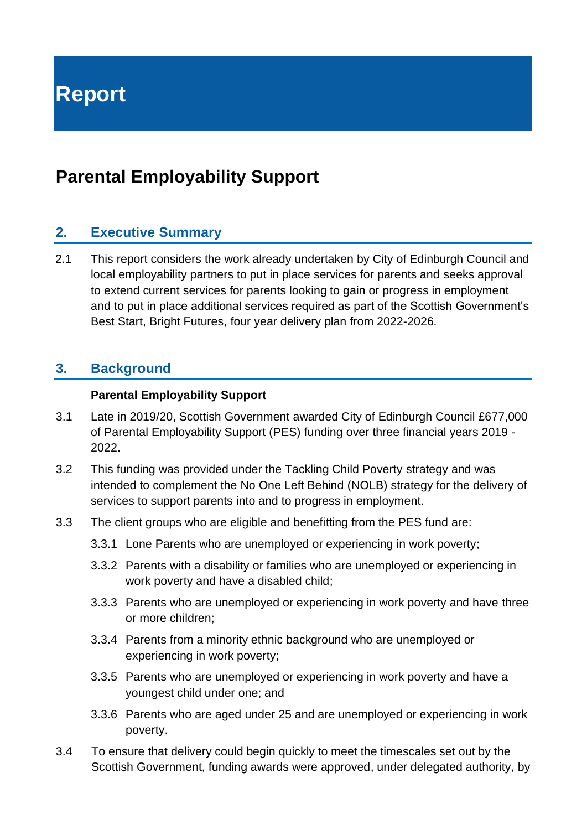**Report**

# **Parental Employability Support**

### **2. Executive Summary**

2.1 This report considers the work already undertaken by City of Edinburgh Council and local employability partners to put in place services for parents and seeks approval to extend current services for parents looking to gain or progress in employment and to put in place additional services required as part of the Scottish Government's Best Start, Bright Futures, four year delivery plan from 2022-2026.

#### **3. Background**

#### **Parental Employability Support**

- 3.1 Late in 2019/20, Scottish Government awarded City of Edinburgh Council £677,000 of Parental Employability Support (PES) funding over three financial years 2019 - 2022.
- 3.2 This funding was provided under the Tackling Child Poverty strategy and was intended to complement the No One Left Behind (NOLB) strategy for the delivery of services to support parents into and to progress in employment.
- 3.3 The client groups who are eligible and benefitting from the PES fund are:
	- 3.3.1 Lone Parents who are unemployed or experiencing in work poverty;
	- 3.3.2 Parents with a disability or families who are unemployed or experiencing in work poverty and have a disabled child;
	- 3.3.3 Parents who are unemployed or experiencing in work poverty and have three or more children;
	- 3.3.4 Parents from a minority ethnic background who are unemployed or experiencing in work poverty;
	- 3.3.5 Parents who are unemployed or experiencing in work poverty and have a youngest child under one; and
	- 3.3.6 Parents who are aged under 25 and are unemployed or experiencing in work poverty.
- 3.4 To ensure that delivery could begin quickly to meet the timescales set out by the Scottish Government, funding awards were approved, under delegated authority, by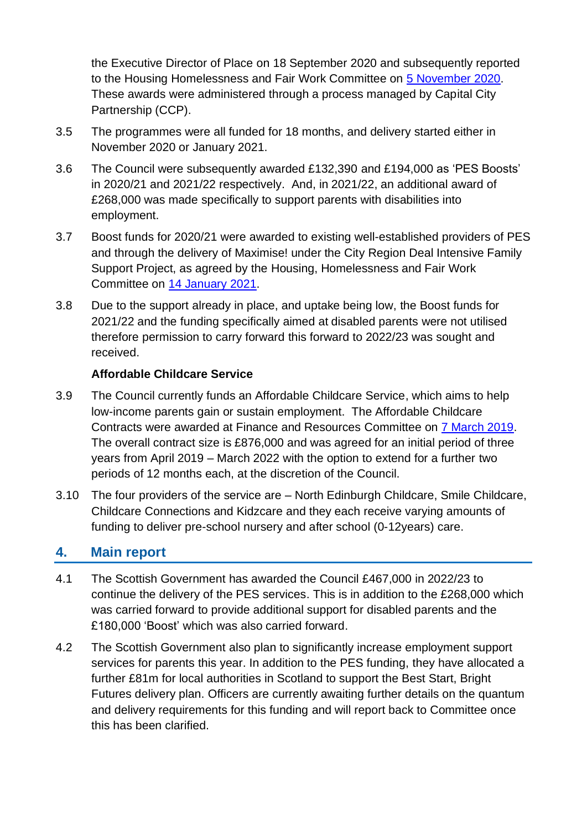the Executive Director of Place on 18 September 2020 and subsequently reported to the Housing Homelessness and Fair Work Committee on [5 November 2020.](https://democracy.edinburgh.gov.uk/documents/s28570/7.11%20-%20Parental%20Employability%20Support%20Fund%20Grants.pdf) These awards were administered through a process managed by Capital City Partnership (CCP).

- 3.5 The programmes were all funded for 18 months, and delivery started either in November 2020 or January 2021.
- 3.6 The Council were subsequently awarded £132,390 and £194,000 as 'PES Boosts' in 2020/21 and 2021/22 respectively. And, in 2021/22, an additional award of £268,000 was made specifically to support parents with disabilities into employment.
- 3.7 Boost funds for 2020/21 were awarded to existing well-established providers of PES and through the delivery of Maximise! under the City Region Deal Intensive Family Support Project, as agreed by the Housing, Homelessness and Fair Work Committee on [14 January 2021.](https://democracy.edinburgh.gov.uk/documents/s30263/7.9%20-%20Scottish%20Government%20Funding%20for%20Employability%20Support.pdf)
- 3.8 Due to the support already in place, and uptake being low, the Boost funds for 2021/22 and the funding specifically aimed at disabled parents were not utilised therefore permission to carry forward this forward to 2022/23 was sought and received.

#### **Affordable Childcare Service**

- 3.9 The Council currently funds an Affordable Childcare Service, which aims to help low-income parents gain or sustain employment. The Affordable Childcare Contracts were awarded at Finance and Resources Committee on [7 March 2019.](https://democracy.edinburgh.gov.uk/Data/Finance%20and%20Resources%20Committee/20190307/Agenda/$item_81_-_award_of_contracts_for_subsidised_childcare_for_working_parentspdf.xls.pdf) The overall contract size is £876,000 and was agreed for an initial period of three years from April 2019 – March 2022 with the option to extend for a further two periods of 12 months each, at the discretion of the Council.
- 3.10 The four providers of the service are North Edinburgh Childcare, Smile Childcare, Childcare Connections and Kidzcare and they each receive varying amounts of funding to deliver pre-school nursery and after school (0-12years) care.

#### **4. Main report**

- 4.1 The Scottish Government has awarded the Council £467,000 in 2022/23 to continue the delivery of the PES services. This is in addition to the £268,000 which was carried forward to provide additional support for disabled parents and the £180,000 'Boost' which was also carried forward.
- 4.2 The Scottish Government also plan to significantly increase employment support services for parents this year. In addition to the PES funding, they have allocated a further £81m for local authorities in Scotland to support the Best Start, Bright Futures delivery plan. Officers are currently awaiting further details on the quantum and delivery requirements for this funding and will report back to Committee once this has been clarified.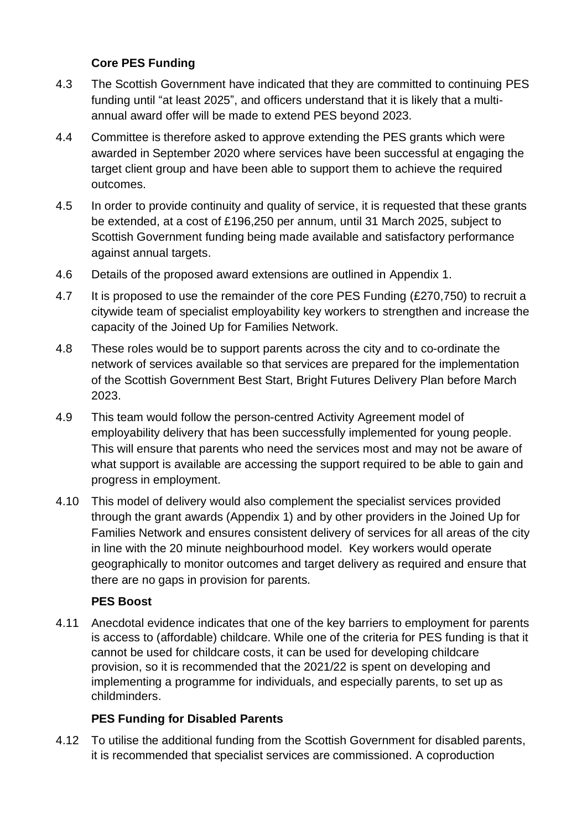#### **Core PES Funding**

- 4.3 The Scottish Government have indicated that they are committed to continuing PES funding until "at least 2025", and officers understand that it is likely that a multiannual award offer will be made to extend PES beyond 2023.
- 4.4 Committee is therefore asked to approve extending the PES grants which were awarded in September 2020 where services have been successful at engaging the target client group and have been able to support them to achieve the required outcomes.
- 4.5 In order to provide continuity and quality of service, it is requested that these grants be extended, at a cost of £196,250 per annum, until 31 March 2025, subject to Scottish Government funding being made available and satisfactory performance against annual targets.
- 4.6 Details of the proposed award extensions are outlined in Appendix 1.
- 4.7 It is proposed to use the remainder of the core PES Funding (£270,750) to recruit a citywide team of specialist employability key workers to strengthen and increase the capacity of the Joined Up for Families Network.
- 4.8 These roles would be to support parents across the city and to co-ordinate the network of services available so that services are prepared for the implementation of the Scottish Government Best Start, Bright Futures Delivery Plan before March 2023.
- 4.9 This team would follow the person-centred Activity Agreement model of employability delivery that has been successfully implemented for young people. This will ensure that parents who need the services most and may not be aware of what support is available are accessing the support required to be able to gain and progress in employment.
- 4.10 This model of delivery would also complement the specialist services provided through the grant awards (Appendix 1) and by other providers in the Joined Up for Families Network and ensures consistent delivery of services for all areas of the city in line with the 20 minute neighbourhood model. Key workers would operate geographically to monitor outcomes and target delivery as required and ensure that there are no gaps in provision for parents.

#### **PES Boost**

4.11 Anecdotal evidence indicates that one of the key barriers to employment for parents is access to (affordable) childcare. While one of the criteria for PES funding is that it cannot be used for childcare costs, it can be used for developing childcare provision, so it is recommended that the 2021/22 is spent on developing and implementing a programme for individuals, and especially parents, to set up as childminders.

#### **PES Funding for Disabled Parents**

4.12 To utilise the additional funding from the Scottish Government for disabled parents, it is recommended that specialist services are commissioned. A coproduction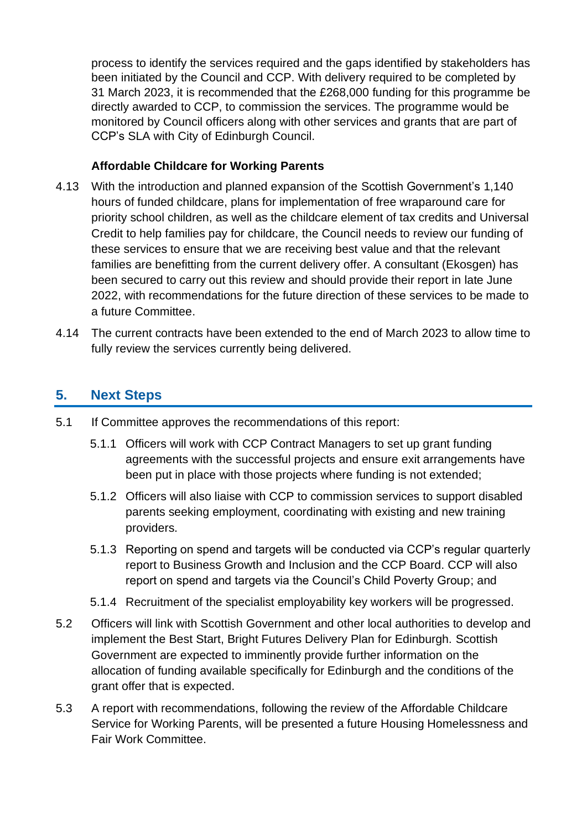process to identify the services required and the gaps identified by stakeholders has been initiated by the Council and CCP. With delivery required to be completed by 31 March 2023, it is recommended that the £268,000 funding for this programme be directly awarded to CCP, to commission the services. The programme would be monitored by Council officers along with other services and grants that are part of CCP's SLA with City of Edinburgh Council.

#### **Affordable Childcare for Working Parents**

- 4.13 With the introduction and planned expansion of the Scottish Government's 1,140 hours of funded childcare, plans for implementation of free wraparound care for priority school children, as well as the childcare element of tax credits and Universal Credit to help families pay for childcare, the Council needs to review our funding of these services to ensure that we are receiving best value and that the relevant families are benefitting from the current delivery offer. A consultant (Ekosgen) has been secured to carry out this review and should provide their report in late June 2022, with recommendations for the future direction of these services to be made to a future Committee.
- 4.14 The current contracts have been extended to the end of March 2023 to allow time to fully review the services currently being delivered.

# **5. Next Steps**

- 5.1 If Committee approves the recommendations of this report:
	- 5.1.1 Officers will work with CCP Contract Managers to set up grant funding agreements with the successful projects and ensure exit arrangements have been put in place with those projects where funding is not extended;
	- 5.1.2 Officers will also liaise with CCP to commission services to support disabled parents seeking employment, coordinating with existing and new training providers.
	- 5.1.3 Reporting on spend and targets will be conducted via CCP's regular quarterly report to Business Growth and Inclusion and the CCP Board. CCP will also report on spend and targets via the Council's Child Poverty Group; and
	- 5.1.4 Recruitment of the specialist employability key workers will be progressed.
- 5.2 Officers will link with Scottish Government and other local authorities to develop and implement the Best Start, Bright Futures Delivery Plan for Edinburgh. Scottish Government are expected to imminently provide further information on the allocation of funding available specifically for Edinburgh and the conditions of the grant offer that is expected.
- 5.3 A report with recommendations, following the review of the Affordable Childcare Service for Working Parents, will be presented a future Housing Homelessness and Fair Work Committee.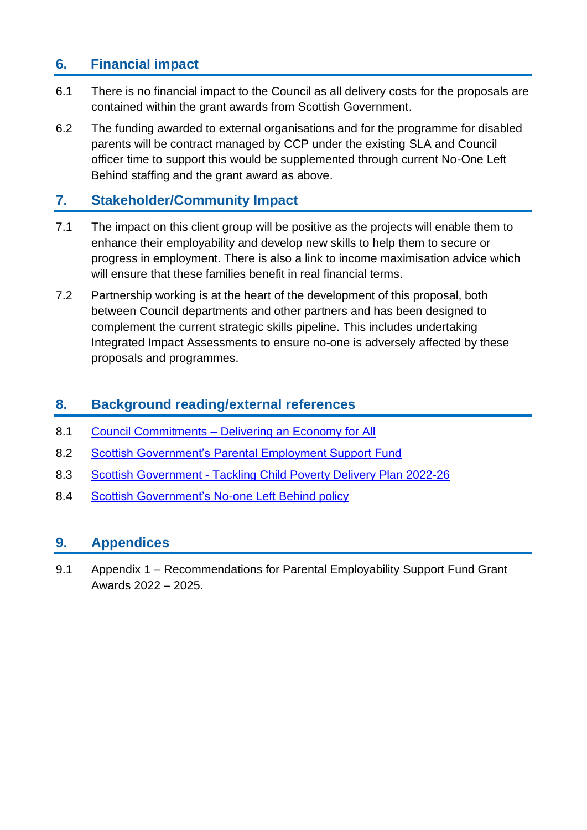# **6. Financial impact**

- 6.1 There is no financial impact to the Council as all delivery costs for the proposals are contained within the grant awards from Scottish Government.
- 6.2 The funding awarded to external organisations and for the programme for disabled parents will be contract managed by CCP under the existing SLA and Council officer time to support this would be supplemented through current No-One Left Behind staffing and the grant award as above.

# **7. Stakeholder/Community Impact**

- 7.1 The impact on this client group will be positive as the projects will enable them to enhance their employability and develop new skills to help them to secure or progress in employment. There is also a link to income maximisation advice which will ensure that these families benefit in real financial terms.
- 7.2 Partnership working is at the heart of the development of this proposal, both between Council departments and other partners and has been designed to complement the current strategic skills pipeline. This includes undertaking Integrated Impact Assessments to ensure no-one is adversely affected by these proposals and programmes.

### **8. Background reading/external references**

- 8.1 Council Commitments [Delivering an Economy for All](https://www.edinburgh.gov.uk/council-commitments/delivering-economy?documentId=12618&categoryId=20141)
- 8.2 [Scottish Government's Parental Employment Support Fund](https://www.employabilityinscotland.com/employability-services/parental-employability-support-fund/)
- 8.3 Scottish Government [Tackling Child Poverty Delivery Plan 2022-26](https://www.gov.scot/news/tackling-child-poverty-delivery-plan-2022-26/)
- 8.4 [Scottish Government's No-one Left Behind policy](https://www.gov.scot/publications/one-left-behind-next-steps-integration-alignment-employability-support-scotland/)

#### **9. Appendices**

9.1 Appendix 1 – Recommendations for Parental Employability Support Fund Grant Awards 2022 – 2025.